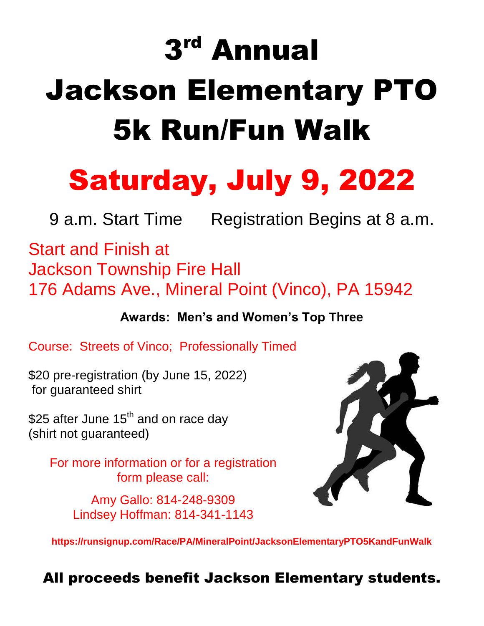# 3 rd Annual Jackson Elementary PTO 5k Run/Fun Walk

## Saturday, July 9, 2022

9 a.m. Start Time Registration Begins at 8 a.m.

Start and Finish at Jackson Township Fire Hall 176 Adams Ave., Mineral Point (Vinco), PA 15942

**Awards: Men's and Women's Top Three**

Course: Streets of Vinco; Professionally Timed

\$20 pre-registration (by June 15, 2022) for guaranteed shirt

\$25 after June 15<sup>th</sup> and on race day (shirt not guaranteed)

> For more information or for a registration form please call:

> > Amy Gallo: 814-248-9309 Lindsey Hoffman: 814-341-1143



**https://runsignup.com/Race/PA/MineralPoint/JacksonElementaryPTO5KandFunWalk**

All proceeds benefit Jackson Elementary students.